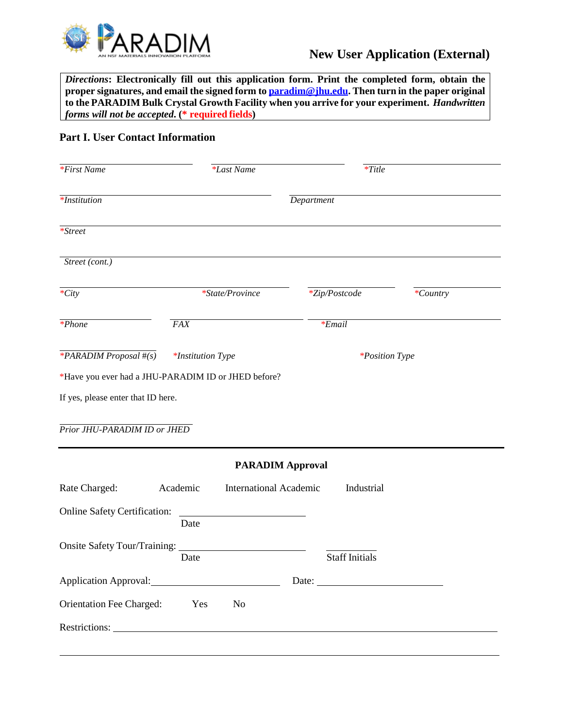

*Directions***: Electronically fill out this application form. Print the completed form, obtain the proper signatures, and email the signed form to [paradim@jhu.edu.](mailto:paradim@jhu.edu) Then turn in the paper original to the PARADIM Bulk Crystal Growth Facility when you arrive for your experiment.** *Handwritten forms will not be accepted***. (\* required fields)**

## **Part I. User Contact Information**

| $*First Name$                                                                                                                                         |                          | <i>*Last Name</i>             |                         | $*Title$              |                       |  |
|-------------------------------------------------------------------------------------------------------------------------------------------------------|--------------------------|-------------------------------|-------------------------|-----------------------|-----------------------|--|
| <i>*Institution</i>                                                                                                                                   |                          |                               |                         | Department            |                       |  |
| $*Street$                                                                                                                                             |                          |                               |                         |                       |                       |  |
| Street (cont.)                                                                                                                                        |                          |                               |                         |                       |                       |  |
| $\overline{\cdot}$ City                                                                                                                               | *State/Province          |                               |                         | *Zip/Postcode         | *Country              |  |
| $*Phone$                                                                                                                                              | <b>FAX</b>               |                               |                         | $*$ <i>Email</i>      |                       |  |
| $*PARADIM$ Proposal #(s)<br>*Have you ever had a JHU-PARADIM ID or JHED before?<br>If yes, please enter that ID here.<br>Prior JHU-PARADIM ID or JHED | <i>*Institution Type</i> |                               |                         |                       | <i>*Position Type</i> |  |
|                                                                                                                                                       |                          |                               | <b>PARADIM Approval</b> |                       |                       |  |
| Rate Charged:                                                                                                                                         | Academic                 | <b>International Academic</b> |                         | Industrial            |                       |  |
| <b>Online Safety Certification:</b>                                                                                                                   | Date                     |                               |                         |                       |                       |  |
| Onsite Safety Tour/Training:                                                                                                                          | Date                     |                               |                         | <b>Staff Initials</b> |                       |  |
| Application Approval:                                                                                                                                 |                          |                               |                         |                       |                       |  |
| <b>Orientation Fee Charged:</b>                                                                                                                       | Yes                      | N <sub>0</sub>                |                         |                       |                       |  |
|                                                                                                                                                       |                          |                               |                         |                       |                       |  |